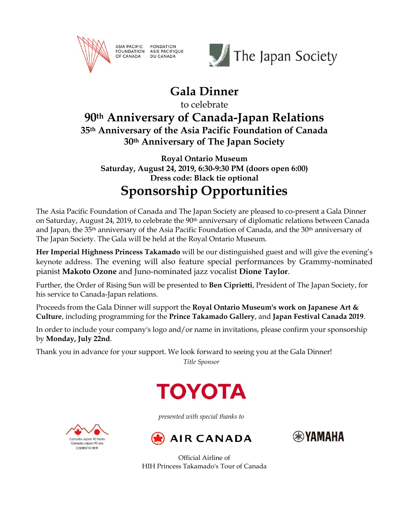

ASIA PACIFIC FONDATION<br>FOUNDATION ASIE PACIFIQUE OF CANADA DU CANADA



## **Gala Dinner**

to celebrate

### **90th Anniversary of Canada-Japan Relations 35th Anniversary of the Asia Pacific Foundation of Canada 30th Anniversary of The Japan Society**

**Royal Ontario Museum Saturday, August 24, 2019, 6:30-9:30 PM (doors open 6:00) Dress code: Black tie optional**

# **Sponsorship Opportunities**

The Asia Pacific Foundation of Canada and The Japan Society are pleased to co-present a Gala Dinner on Saturday, August 24, 2019, to celebrate the 90th anniversary of diplomatic relations between Canada and Japan, the 35th anniversary of the Asia Pacific Foundation of Canada, and the 30th anniversary of The Japan Society. The Gala will be held at the Royal Ontario Museum.

**Her Imperial Highness Princess Takamado** will be our distinguished guest and will give the evening's keynote address. The evening will also feature special performances by Grammy-nominated pianist **Makoto Ozone** and Juno-nominated jazz vocalist **Dione Taylor**.

Further, the Order of Rising Sun will be presented to **Ben Ciprietti**, President of The Japan Society, for his service to Canada-Japan relations.

Proceeds from the Gala Dinner will support the **Royal Ontario Museum's work on Japanese Art & Culture**, including programming for the **Prince Takamado Gallery**, and **Japan Festival Canada 2019**.

In order to include your company's logo and/or name in invitations, please confirm your sponsorship by **Monday, July 22nd**.

Thank you in advance for your support. We look forward to seeing you at the Gala Dinner!

*Title Sponsor*



*presented with special thanks to*





Official Airline of HIH Princess Takamado's Tour of Canada

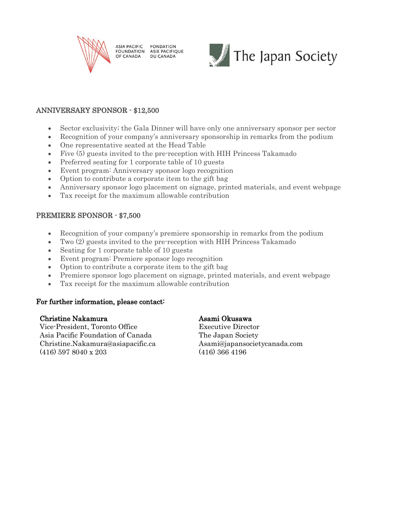

**ASIA PACIFIC FONDATION** FOUNDATION ASIE PACIFIQUE OF CANADA **DU CANADA** 



#### ANNIVERSARY SPONSOR - \$12,500

- Sector exclusivity; the Gala Dinner will have only one anniversary sponsor per sector
- Recognition of your company's anniversary sponsorship in remarks from the podium
- One representative seated at the Head Table
- Five (5) guests invited to the pre-reception with HIH Princess Takamado
- Preferred seating for 1 corporate table of 10 guests
- Event program: Anniversary sponsor logo recognition
- Option to contribute a corporate item to the gift bag
- Anniversary sponsor logo placement on signage, printed materials, and event webpage
- Tax receipt for the maximum allowable contribution

### PREMIERE SPONSOR - \$7,500

- Recognition of your company's premiere sponsorship in remarks from the podium
- Two (2) guests invited to the pre-reception with HIH Princess Takamado
- Seating for 1 corporate table of 10 guests
- Event program: Premiere sponsor logo recognition
- Option to contribute a corporate item to the gift bag
- Premiere sponsor logo placement on signage, printed materials, and event webpage
- Tax receipt for the maximum allowable contribution

#### For further information, please contact:

#### Christine Nakamura **Asami Okusawa**

Vice-President, Toronto Office Executive Director Asia Pacific Foundation of Canada The Japan Society Christine.Nakamura@asiapacific.ca Asami@japansocietycanada.com (416) 597 8040 x 203 (416) 366 4196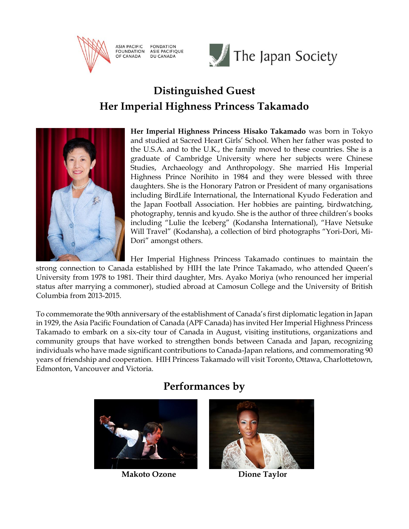

**ASIA PACIFIC FONDATION** FOUNDATION ASIE PACIFIQUE OF CANADA **DU CANADA** 



### **Distinguished Guest Her Imperial Highness Princess Takamado**



**Her Imperial Highness Princess Hisako Takamado** was born in Tokyo and studied at Sacred Heart Girls' School. When her father was posted to the U.S.A. and to the U.K., the family moved to these countries. She is a graduate of Cambridge University where her subjects were Chinese Studies, Archaeology and Anthropology. She married His Imperial Highness Prince Norihito in 1984 and they were blessed with three daughters. She is the Honorary Patron or President of many organisations including BirdLife International, the International Kyudo Federation and the Japan Football Association. Her hobbies are painting, birdwatching, photography, tennis and kyudo. She is the author of three children's books including "Lulie the Iceberg" (Kodansha International), "Have Netsuke Will Travel" (Kodansha), a collection of bird photographs "Yori-Dori, Mi-Dori" amongst others.

Her Imperial Highness Princess Takamado continues to maintain the strong connection to Canada established by HIH the late Prince Takamado, who attended Queen's University from 1978 to 1981. Their third daughter, Mrs. Ayako Moriya (who renounced her imperial status after marrying a commoner), studied abroad at Camosun College and the University of British Columbia from 2013-2015.

To commemorate the 90th anniversary of the establishment of Canada's first diplomatic legation in Japan in 1929, the Asia Pacific Foundation of Canada (APF Canada) has invited Her Imperial Highness Princess Takamado to embark on a six-city tour of Canada in August, visiting institutions, organizations and community groups that have worked to strengthen bonds between Canada and Japan, recognizing individuals who have made significant contributions to Canada-Japan relations, and commemorating 90 years of friendship and cooperation. HIH Princess Takamado will visit Toronto, Ottawa, Charlottetown, Edmonton, Vancouver and Victoria.

# **Performances by**



**Makoto Ozone** Dione Taylor